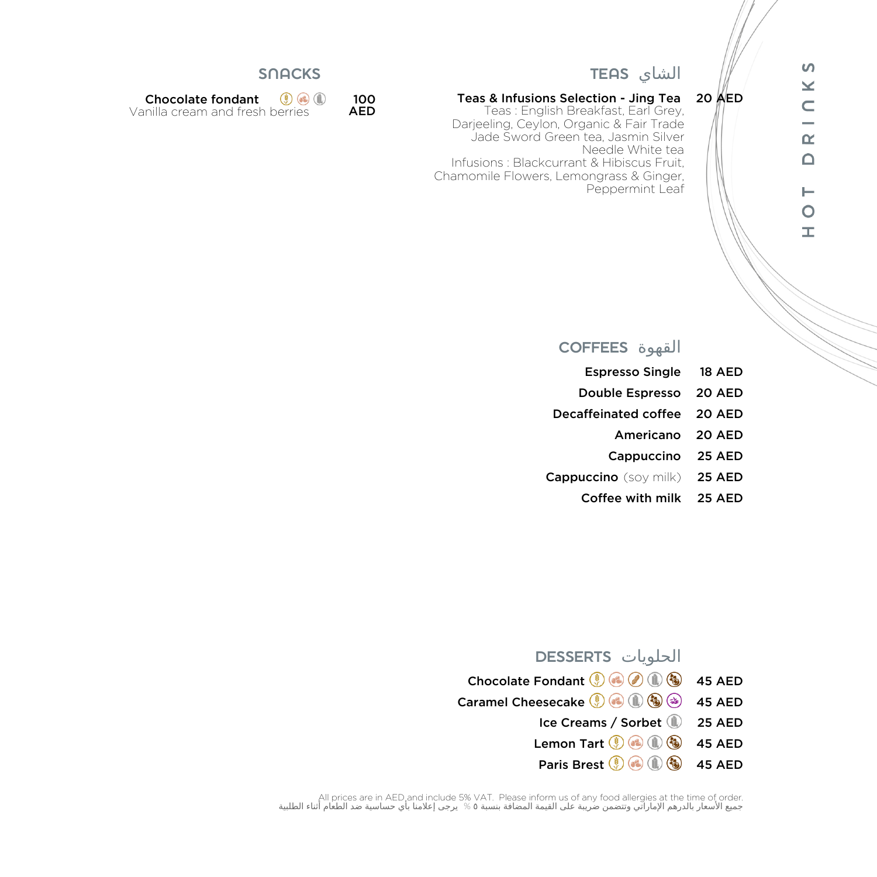## $\Omega$  $\geq$  $\subset$  $\overline{\phantom{0}}$  $\simeq$  $\Omega$  $\vdash$  $\circ$  $\pm$

#### الشاي TEAS

#### Teas & Infusions Selection - Jing Tea 20 AED

**Teas : English Breakfast, Earl Grey,** Darjeeling, Ceylon, Organic & Fair Trade Jade Sword Green tea, Jasmin Silver Needle White tea Infusions : Blackcurrant & Hibiscus Fruit, Chamomile Flowers, Lemongrass & Ginger, Peppermint Leaf

#### **SNACKS**

| <b>Chocolate fondant</b>        | $(3)$ (c) $(1)$ | 100        |
|---------------------------------|-----------------|------------|
| Vanilla cream and fresh berries |                 | <b>AED</b> |

#### القهوة COFFEES

- Espresso Single 18 AED
- Double Espresso 20 AED
- Decaffeinated coffee 20 AED
	- Americano 20 AED
	- Cappuccino 25 AED
- Cappuccino (soy milk) 25 AED
	- Coffee with milk 25 AED

#### الحلويات DESSERTS

| Chocolate Fondant ( $\bigcirc$ ( $\bigcirc$ ( $\bigcirc$ ( $\bigcirc$ ) 45 AED                                                                        |  |
|-------------------------------------------------------------------------------------------------------------------------------------------------------|--|
| Caramel Cheesecake $\textcircled{\scriptsize{0}}$ $\textcircled{\scriptsize{0}}$ $\textcircled{\scriptsize{0}}$ $\textcircled{\scriptsize{s}}$ as AED |  |
| Ice Creams / Sorbet 125 AED                                                                                                                           |  |
| Lemon Tart $\circledast$ ( $\circledast$ ( $\circledast$ ) 45 AED                                                                                     |  |
| Paris Brest ( C C C G 45 AED                                                                                                                          |  |

All prices are in AED and include 5% VAT. Please inform us of any food allergies at the time of order.<br>جميع الأسعار بالدرهم الإماراتي وتتضمن ضريبة على القيمة المضافة بنسبة 0 % يرجى إعلامنا بأي حساسية ضد الطعام أثناء الطل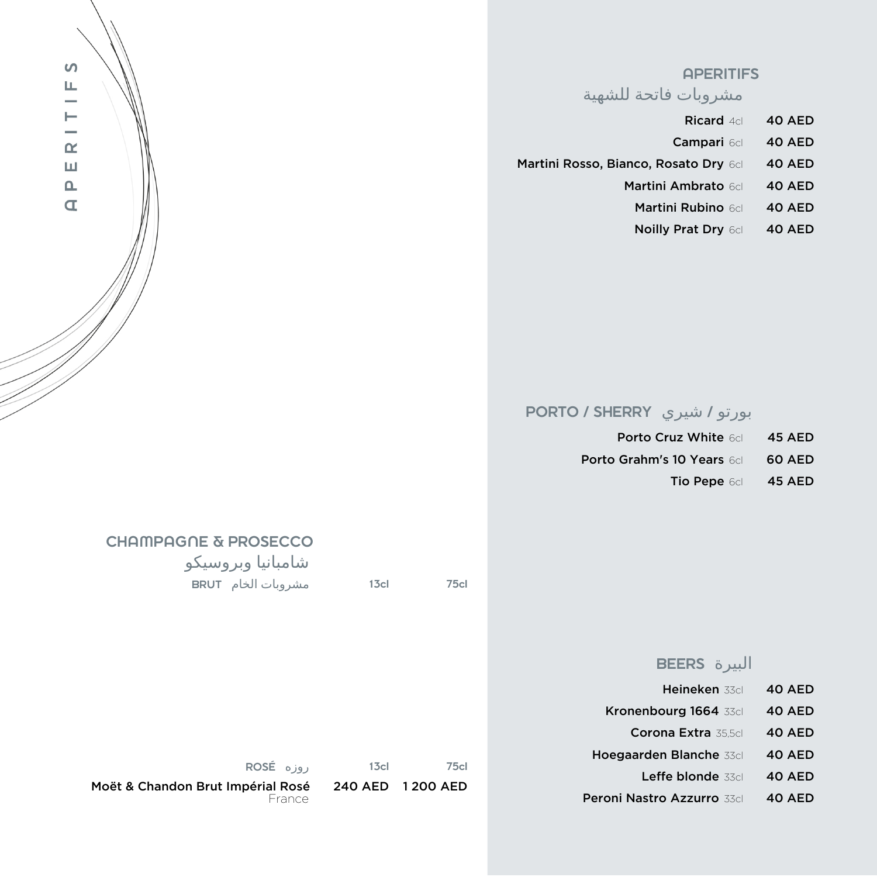

#### **APERITIFS**

مشروبات فاتحة للشهية

- Ricard 4cl 40 AED
- Campari 6cl 40 AED Martini Rosso, Bianco, Rosato Dry 6cl 40 AED
	- Martini Ambrato 6cl 40 AED
	- Martini Rubino 6cl 40 AED
	- Noilly Prat Dry 6cl 40 AED

## بورتو / شيري SHERRY / PORTO

| <b>Porto Cruz White 6dl</b>       | <b>45 AED</b> |
|-----------------------------------|---------------|
| <b>Porto Grahm's 10 Years 6dl</b> | 60 AED        |
| <b>Tio Pepe 6cl</b>               | <b>45 AED</b> |

# CHAMPAGNE & PROSECCO

| شامبانيا وبروسيكو  |                  |     |
|--------------------|------------------|-----|
| مشروبات الخام BRUT | 13 <sub>cl</sub> | 75c |
|                    |                  |     |

#### البيرة BEERS

| Heineken 33cl              | 40 AED |
|----------------------------|--------|
| Kronenbourg 1664 33cl      | 40 AED |
| Corona Extra 35.5cl        | 40 AED |
| Hoegaarden Blanche 33cl    | 40 AED |
| Leffe blonde 33cl          | 40 AED |
| Peroni Nastro Azzurro 33dl | 40 AED |

| $ROSE$ $0.91$           | 13 <sub>cl</sub>   | 75cl |
|-------------------------|--------------------|------|
| ndon Brut Imnérial Rosé | 240 AFD - 1200 AFD |      |

Moët & Chandon Brut Impérial Rosé 240 AED 1 200 AED lai nuuu<br>France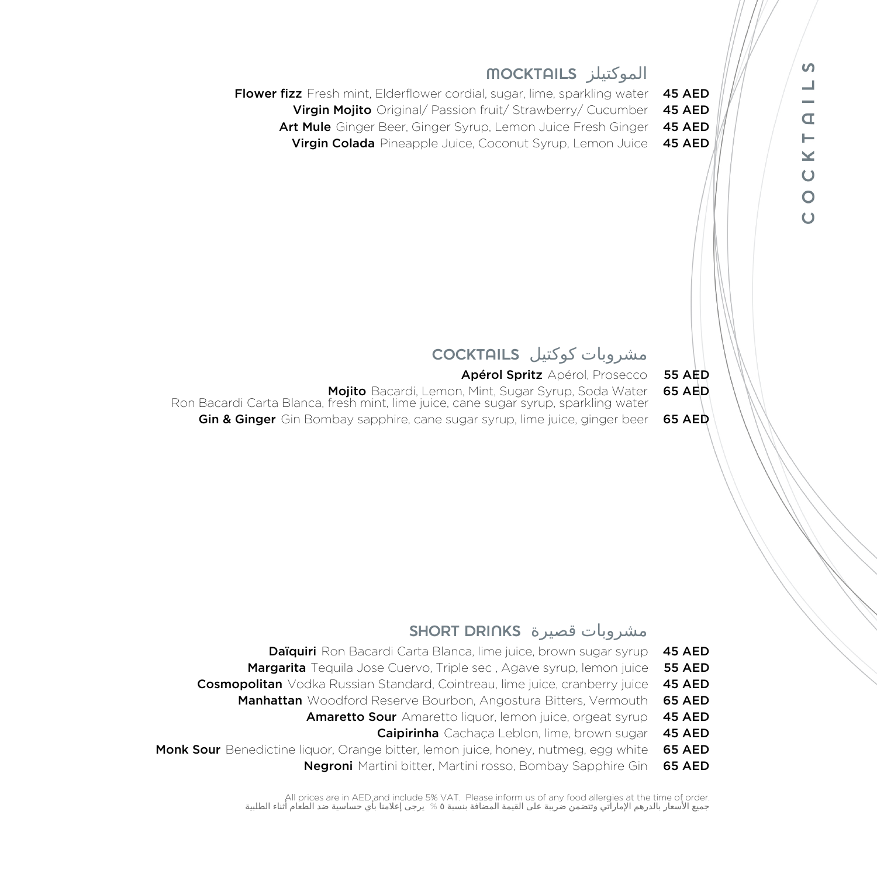

#### SHORT DRINKS قصيرة مشروبات

| <b>Daïquiri</b> Ron Bacardi Carta Blanca, lime juice, brown sugar syrup 45 AED            |  |
|-------------------------------------------------------------------------------------------|--|
| <b>Margarita</b> Tequila Jose Cuervo, Triple sec, Agave syrup, lemon juice 55 AED         |  |
| <b>Cosmopolitan</b> Vodka Russian Standard, Cointreau, lime juice, cranberry juice 45 AED |  |
| <b>Manhattan</b> Woodford Reserve Bourbon, Angostura Bitters, Vermouth <b>65 AED</b>      |  |
| <b>Amaretto Sour</b> Amaretto liquor, lemon juice, orgeat syrup 45 AED                    |  |
| <b>Caipirinha</b> Cachaca Leblon, lime, brown sugar 45 AED                                |  |
|                                                                                           |  |

Monk Sour Benedictine liquor, Orange bitter, lemon juice, honey, nutmeg, egg white 65 AED

Negroni Martini bitter, Martini rosso, Bombay Sapphire Gin 65 AED

All prices are in AED and include 5% VAT. Please inform us of any food allergies at the time of order. جميع الأسعار بالدرهم الإماراتي وتتضمن ضريبة علي القيمة المضافة بنسبة ٥ % يرجي إعلامنا بأي حساسية ضد الطعام أثناء الطلبية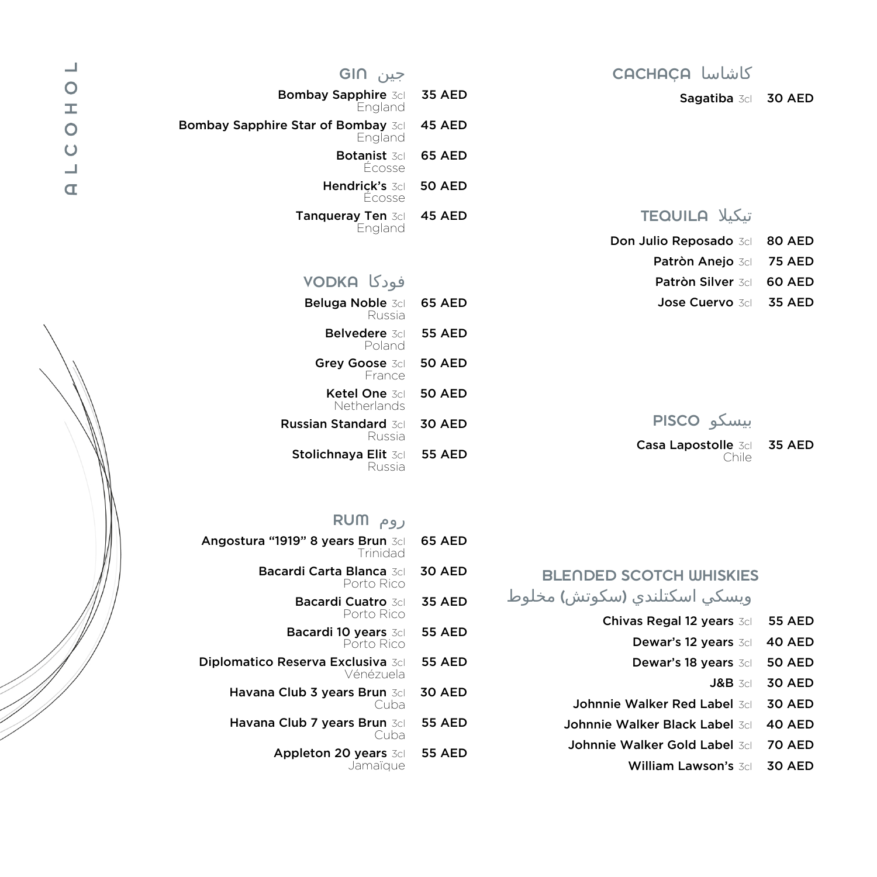

| جين GIN                                       |               |
|-----------------------------------------------|---------------|
| <b>Bombay Sapphire 3dl</b><br>England         | <b>35 AED</b> |
| Bombay Sapphire Star of Bombay 3dl<br>England | <b>45 AED</b> |
| <b>Botanist 3dl</b><br>Écosse                 | <b>65 AED</b> |
| Hendrick's 3dl<br>Ecosse                      | 50 AED        |
| Tanqueray Ten 3cl<br>England                  | 45 AED        |
| فودكا VODKA                                   |               |
| Beluga Noble 3cl<br>Russia                    | <b>65 AED</b> |
| <b>Belvedere 3cl</b><br>Poland                | <b>55 AED</b> |
| Grey Goose 3cl                                | <b>50 AED</b> |

| <b>Beluga Noble 3cl</b><br>Russia     | 65 AED        |
|---------------------------------------|---------------|
| <b>Belvedere</b> 3dl<br>Poland        | <b>55 AED</b> |
| Grey Goose 3cl<br>Erance              | <b>50 AED</b> |
| <b>Ketel One</b> 3dl<br>Netherlands   | <b>50 AED</b> |
| <b>Russian Standard 3dl</b><br>Russia | <b>30 AED</b> |
| Stolichnaya Elit 3dl<br>Russia        | <b>55 AED</b> |

## روم RUM

| Angostura "1919" 8 years Brun 3dl<br>Trinidad         | <b>65 AED</b> |
|-------------------------------------------------------|---------------|
| Bacardi Carta Blanca 3dl<br>Porto Rico                | <b>30 AED</b> |
| <b>Bacardi Cuatro 3dl</b><br>Porto Rico               | <b>35 AED</b> |
| Bacardi 10 years 3cl<br>Porto Rico                    | <b>55 AED</b> |
| <b>Diplomatico Reserva Exclusiva</b> 3cl<br>Vénézuela | <b>55 AED</b> |
| Havana Club 3 years Brun 3cl<br>Cuba                  | <b>30 AED</b> |
| Havana Club 7 years Brun 3dl<br>Cuba                  | <b>55 AED</b> |
| <b>Appleton 20 years 3cl</b>                          | <b>55 AED</b> |

Jamaïque

### كاشاسا CACHAÇA

Sagatiba 3cl 30 AED

### تيكيلا TEQUILA

- Don Julio Reposado 3cl 80 AED
	- Patròn Anejo 3cl 75 AED
	- Patròn Silver 3cl 60 AED
	- Jose Cuervo 3cl 35 AED

بيسكو PISCO

- Casa Lapostolle 3cl 35 AED Chile
- 

### BLENDED SCOTCH WHISKIES ويسكي اسكتلندي (سكوتش) مخلوط

- Chivas Regal 12 years 3dl 55 AED
	- Dewar's 12 years 3d 40 AED
	- Dewar's 18 years 3d 50 AED
		- J&B 3cl 30 AED
- Johnnie Walker Red Label 3cl 30 AED
- Johnnie Walker Black Label 3dl 40 AED
- Johnnie Walker Gold Label 3d 70 AED
	- William Lawson's 3cl 30 AED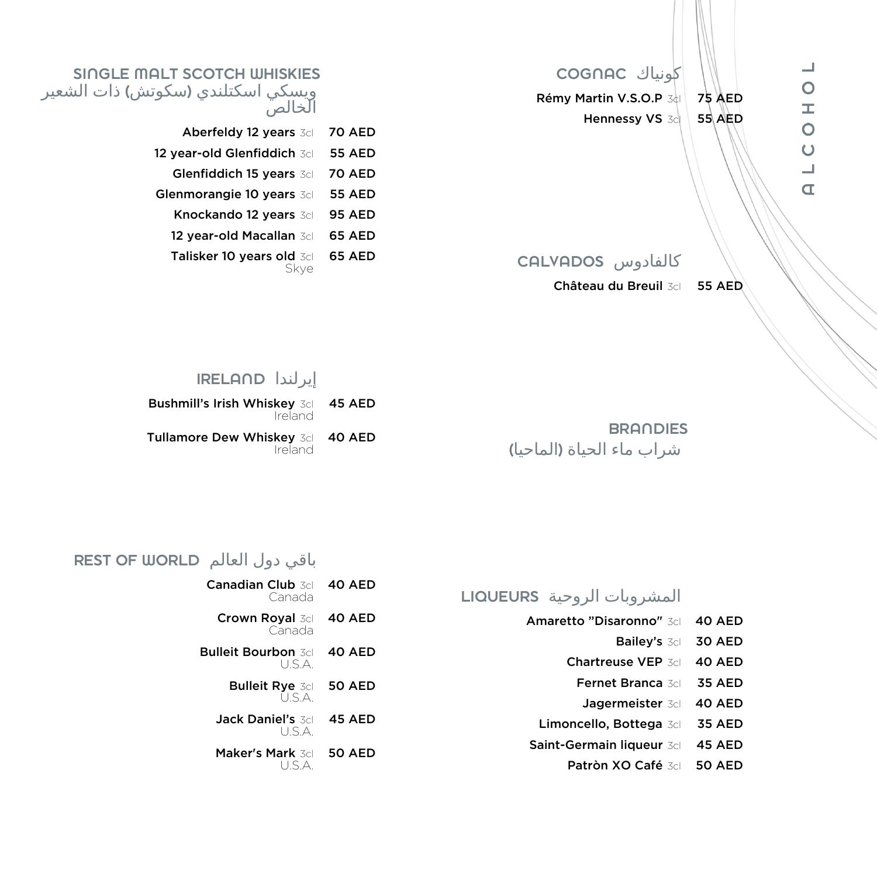كونياك COGNAC Rémy Martin V.S.O.P  $3d$  75 AED Hennessy VS 3cl 55 AED

#### SINGLE MALT SCOTCH WHISKIES ويسكي اسكتلندي (سكوتش) ذات الشعير الخالص

| Aberfeldy 12 years 3cl      | <b>70 AED</b> |
|-----------------------------|---------------|
| 12 year-old Glenfiddich 3cl | <b>55 AED</b> |
| Glenfiddich 15 years 3cl    | <b>70 AED</b> |
| Glenmorangie 10 years 3cl   | <b>55 AED</b> |
| Knockando 12 years 3cl      | <b>95 AED</b> |
| 12 year-old Macallan 3cl    | 65 AED        |
| Talisker 10 years old 3cl   | 65 AED        |
|                             |               |

## كالفادوس CALVADOS

Château du Breuil 3cl 55 AED

### إيرلندا IRELAND

| Bushmill's Irish Whiskey 3cl 45 AED<br>Ireland |  |
|------------------------------------------------|--|
| Tullamore Dew Whiskey 3dl 40 AED<br>Ireland    |  |

**BRANDIES** شراب ماء الحياة (الماحيا)

### باقي دول العالم REST OF WORLD

| <b>Canadian Club</b> 3dl<br>Canada    | 40 AED        |
|---------------------------------------|---------------|
| <b>Crown Royal 3cl</b><br>Canada      | 40 AED        |
| <b>Bulleit Bourbon 3cl</b><br>I J S A | 40 AED        |
| <b>Bulleit Rye 3cl</b><br>I J S A     | <b>50 AED</b> |
| Jack Daniel's 3dl<br>I J S A          | <b>45 AED</b> |
| Maker's Mark 3dl<br>いくム               | 50 AED        |

## المشروبات الروحية LIQUEURS

| Amaretto "Disaronno" 3dl | 40 AED |  |
|--------------------------|--------|--|
|                          |        |  |

- Bailey's 3cl 30 AED
- Chartreuse VEP 3cl 40 AED
- Fernet Branca 3cl 35 AED
- Jagermeister 3cl 40 AED
- Limoncello, Bottega 3cl 35 AED
- Saint-Germain liqueur 3cl 45 AED
	- Patròn XO Café 3cl 50 AED

 $\Box$  $\circ$  $\pm$  $\circ$  $\bigcup$  $\Box$  $\overline{a}$